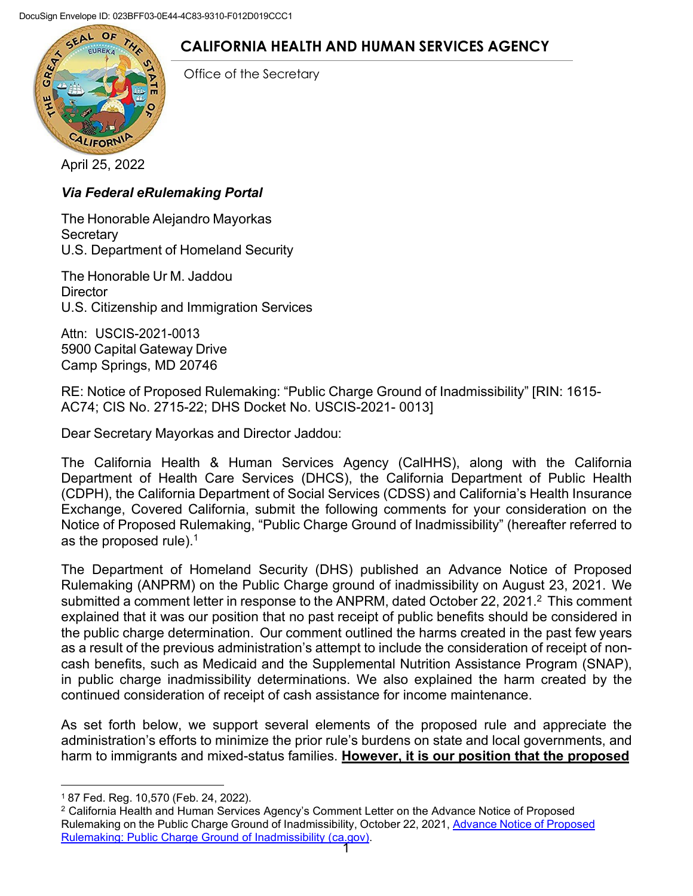

# **CALIFORNIA HEALTH AND HUMAN SERVICES AGENCY**

Office of the Secretary

[April 25, 2022](https://www.google.com/url?sa=i&rct=j&q&esrc=s&source=images&cd&ved=2ahUKEwjbvJqT5uzjAhXOxqQKHWshAfsQjRx6BAgBEAU&url=https%3A%2F%2Fwww.amazon.com%2FGreat-State-California-Sticker-Decal%2Fdp%2FB01972ZYCA&psig=AOvVaw1ZXfCSEuk4d2294uR7ensH&ust=1565130613947527)

## *Via Federal eRulemaking Portal*

The Honorable Alejandro Mayorkas **Secretary** U.S. Department of Homeland Security

The Honorable Ur M. Jaddou **Director** U.S. Citizenship and Immigration Services

Attn: USCIS-2021-0013 5900 Capital Gateway Drive Camp Springs, MD 20746

RE: Notice of Proposed Rulemaking: "Public Charge Ground of Inadmissibility" [RIN: 1615- AC74; CIS No. 2715-22; DHS Docket No. USCIS-2021- 0013]

Dear Secretary Mayorkas and Director Jaddou:

The California Health & Human Services Agency (CalHHS), along with the California Department of Health Care Services (DHCS), the California Department of Public Health (CDPH), the California Department of Social Services (CDSS) and California's Health Insurance Exchange, Covered California, submit the following comments for your consideration on the Notice of Proposed Rulemaking, "Public Charge Ground of Inadmissibility" (hereafter referred to as the proposed rule). $1$ 

The Department of Homeland Security (DHS) published an Advance Notice of Proposed Rulemaking (ANPRM) on the Public Charge ground of inadmissibility on August 23, 2021. We submitted a comment letter in response to the ANPRM, dated October 22, 2021.<sup>2</sup> This comment explained that it was our position that no past receipt of public benefits should be considered in the public charge determination. Our comment outlined the harms created in the past few years as a result of the previous administration's attempt to include the consideration of receipt of noncash benefits, such as Medicaid and the Supplemental Nutrition Assistance Program (SNAP), in public charge inadmissibility determinations. We also explained the harm created by the continued consideration of receipt of cash assistance for income maintenance.

As set forth below, we support several elements of the proposed rule and appreciate the administration's efforts to minimize the prior rule's burdens on state and local governments, and harm to immigrants and mixed-status families. **However, it is our position that the proposed**

<sup>1 87</sup> Fed. Reg. 10,570 (Feb. 24, 2022).

<sup>2</sup> California Health and Human Services Agency's Comment Letter on the Advance Notice of Proposed Rulemaking on the Public Charge Ground of Inadmissibility, October 22, 2021, Advance Notice of Proposed Rulemaking: Public Charge Ground of Inadmissibility (ca.gov).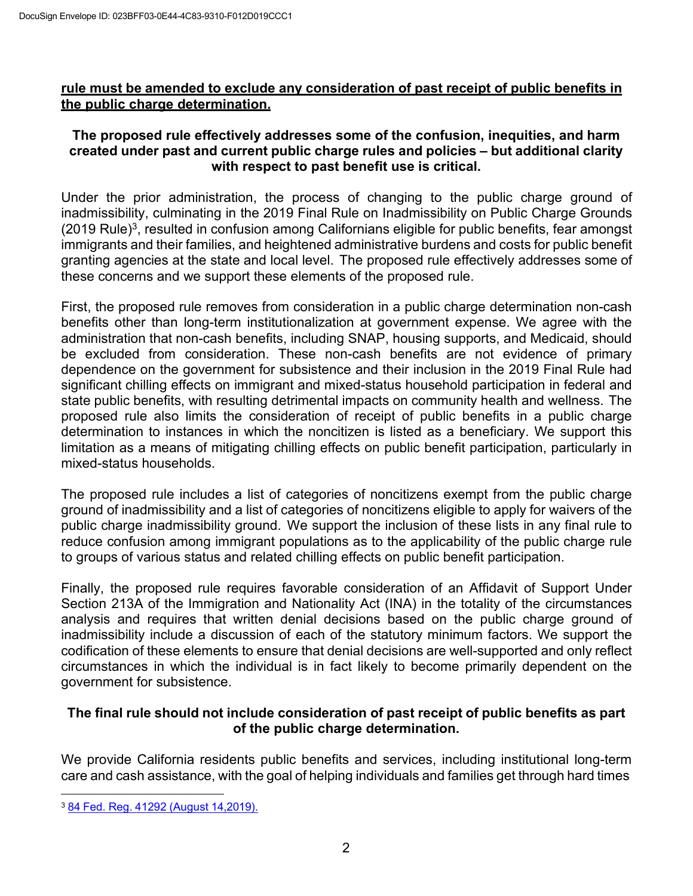#### **rule must be amended to exclude any consideration of past receipt of public benefits in the public charge determination.**

## **The proposed rule effectively addresses some of the confusion, inequities, and harm created under past and current public charge rules and policies – but additional clarity with respect to past benefit use is critical.**

Under the prior administration, the process of changing to the public charge ground of inadmissibility, culminating in the 2019 Final Rule on Inadmissibility on Public Charge Grounds  $(2019 \text{ Rule})^3$ , resulted in confusion among Californians eligible for public benefits, fear amongst immigrants and their families, and heightened administrative burdens and costs for public benefit granting agencies at the state and local level. The proposed rule effectively addresses some of these concerns and we support these elements of the proposed rule.

First, the proposed rule removes from consideration in a public charge determination non-cash benefits other than long-term institutionalization at government expense. We agree with the administration that non-cash benefits, including SNAP, housing supports, and Medicaid, should be excluded from consideration. These non-cash benefits are not evidence of primary dependence on the government for subsistence and their inclusion in the 2019 Final Rule had significant chilling effects on immigrant and mixed-status household participation in federal and state public benefits, with resulting detrimental impacts on community health and wellness. The proposed rule also limits the consideration of receipt of public benefits in a public charge determination to instances in which the noncitizen is listed as a beneficiary. We support this limitation as a means of mitigating chilling effects on public benefit participation, particularly in mixed-status households.

The proposed rule includes a list of categories of noncitizens exempt from the public charge ground of inadmissibility and a list of categories of noncitizens eligible to apply for waivers of the public charge inadmissibility ground. We support the inclusion of these lists in any final rule to reduce confusion among immigrant populations as to the applicability of the public charge rule to groups of various status and related chilling effects on public benefit participation.

Finally, the proposed rule requires favorable consideration of an Affidavit of Support Under Section 213A of the Immigration and Nationality Act (INA) in the totality of the circumstances analysis and requires that written denial decisions based on the public charge ground of inadmissibility include a discussion of each of the statutory minimum factors. We support the codification of these elements to ensure that denial decisions are well-supported and only reflect circumstances in which the individual is in fact likely to become primarily dependent on the government for subsistence.

## **The final rule should not include consideration of past receipt of public benefits as part of the public charge determination.**

We provide California residents public benefits and services, including institutional long-term care and cash assistance, with the goal of helping individuals and families get through hard times

<sup>3 84</sup> Fed. Reg. 41292 (August 14,2019).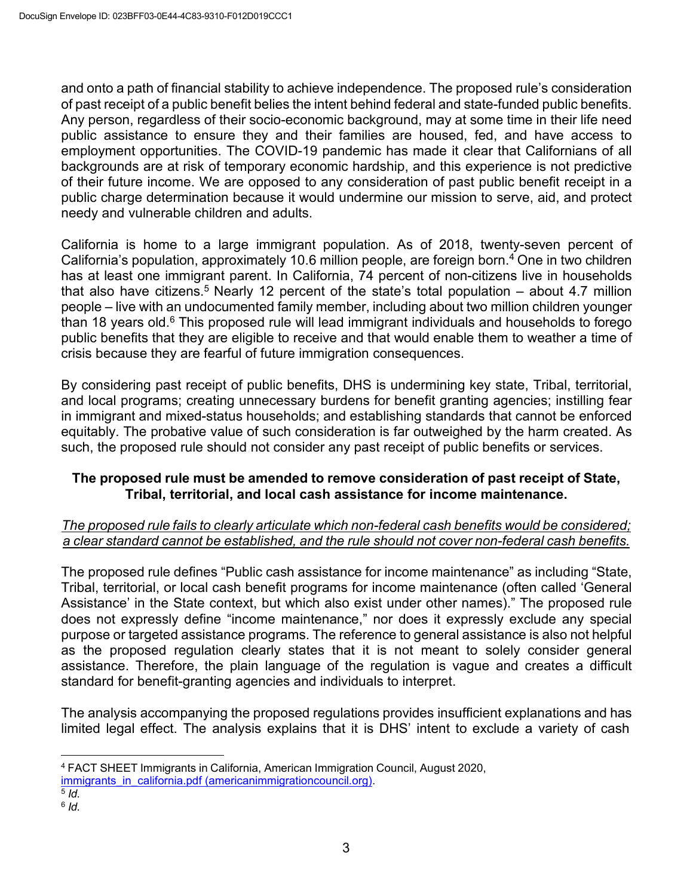and onto a path of financial stability to achieve independence. The proposed rule's consideration of past receipt of a public benefit belies the intent behind federal and state-funded public benefits. Any person, regardless of their socio-economic background, may at some time in their life need public assistance to ensure they and their families are housed, fed, and have access to employment opportunities. The COVID-19 pandemic has made it clear that Californians of all backgrounds are at risk of temporary economic hardship, and this experience is not predictive of their future income. We are opposed to any consideration of past public benefit receipt in a public charge determination because it would undermine our mission to serve, aid, and protect needy and vulnerable children and adults.

California is home to a large immigrant population. As of 2018, twenty-seven percent of California's population, approximately 10.6 million people, are foreign born.4 One in two children has at least one immigrant parent. In California, 74 percent of non-citizens live in households that also have citizens.<sup>5</sup> Nearly 12 percent of the state's total population  $-$  about 4.7 million people – live with an undocumented family member, including about two million children younger than 18 years old.<sup>6</sup> This proposed rule will lead immigrant individuals and households to forego public benefits that they are eligible to receive and that would enable them to weather a time of crisis because they are fearful of future immigration consequences.

By considering past receipt of public benefits, DHS is undermining key state, Tribal, territorial, and local programs; creating unnecessary burdens for benefit granting agencies; instilling fear in immigrant and mixed-status households; and establishing standards that cannot be enforced equitably. The probative value of such consideration is far outweighed by the harm created. As such, the proposed rule should not consider any past receipt of public benefits or services.

## **The proposed rule must be amended to remove consideration of past receipt of State, Tribal, territorial, and local cash assistance for income maintenance.**

#### *The proposed rule fails to clearly articulate which non-federal cash benefits would be considered; a clear standard cannot be established, and the rule should not cover non-federal cash benefits.*

The proposed rule defines "Public cash assistance for income maintenance" as including "State, Tribal, territorial, or local cash benefit programs for income maintenance (often called 'General Assistance' in the State context, but which also exist under other names)." The proposed rule does not expressly define "income maintenance," nor does it expressly exclude any special purpose or targeted assistance programs. The reference to general assistance is also not helpful as the proposed regulation clearly states that it is not meant to solely consider general assistance. Therefore, the plain language of the regulation is vague and creates a difficult standard for benefit-granting agencies and individuals to interpret.

The analysis accompanying the proposed regulations provides insufficient explanations and has limited legal effect. The analysis explains that it is DHS' intent to exclude a variety of cash

<sup>4</sup> FACT SHEET Immigrants in California, American Immigration Council, August 2020,

immigrants\_in\_california.pdf (americanimmigrationcouncil.org). 5 *Id*. 6 *Id*.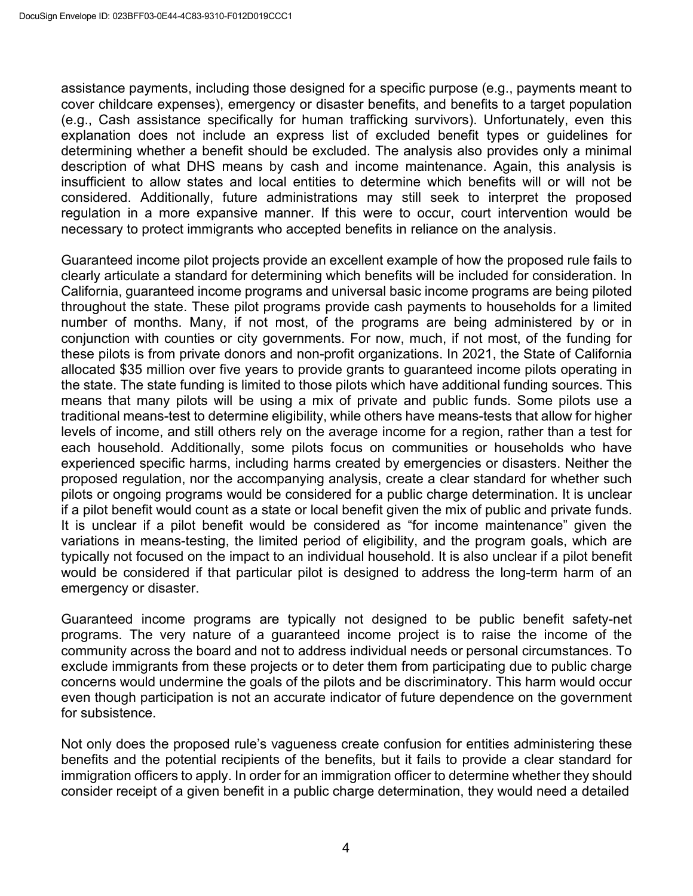assistance payments, including those designed for a specific purpose (e.g., payments meant to cover childcare expenses), emergency or disaster benefits, and benefits to a target population (e.g., Cash assistance specifically for human trafficking survivors). Unfortunately, even this explanation does not include an express list of excluded benefit types or guidelines for determining whether a benefit should be excluded. The analysis also provides only a minimal description of what DHS means by cash and income maintenance. Again, this analysis is insufficient to allow states and local entities to determine which benefits will or will not be considered. Additionally, future administrations may still seek to interpret the proposed regulation in a more expansive manner. If this were to occur, court intervention would be necessary to protect immigrants who accepted benefits in reliance on the analysis.

Guaranteed income pilot projects provide an excellent example of how the proposed rule fails to clearly articulate a standard for determining which benefits will be included for consideration. In California, guaranteed income programs and universal basic income programs are being piloted throughout the state. These pilot programs provide cash payments to households for a limited number of months. Many, if not most, of the programs are being administered by or in conjunction with counties or city governments. For now, much, if not most, of the funding for these pilots is from private donors and non-profit organizations. In 2021, the State of California allocated \$35 million over five years to provide grants to guaranteed income pilots operating in the state. The state funding is limited to those pilots which have additional funding sources. This means that many pilots will be using a mix of private and public funds. Some pilots use a traditional means-test to determine eligibility, while others have means-tests that allow for higher levels of income, and still others rely on the average income for a region, rather than a test for each household. Additionally, some pilots focus on communities or households who have experienced specific harms, including harms created by emergencies or disasters. Neither the proposed regulation, nor the accompanying analysis, create a clear standard for whether such pilots or ongoing programs would be considered for a public charge determination. It is unclear if a pilot benefit would count as a state or local benefit given the mix of public and private funds. It is unclear if a pilot benefit would be considered as "for income maintenance" given the variations in means-testing, the limited period of eligibility, and the program goals, which are typically not focused on the impact to an individual household. It is also unclear if a pilot benefit would be considered if that particular pilot is designed to address the long-term harm of an emergency or disaster.

Guaranteed income programs are typically not designed to be public benefit safety-net programs. The very nature of a guaranteed income project is to raise the income of the community across the board and not to address individual needs or personal circumstances. To exclude immigrants from these projects or to deter them from participating due to public charge concerns would undermine the goals of the pilots and be discriminatory. This harm would occur even though participation is not an accurate indicator of future dependence on the government for subsistence.

Not only does the proposed rule's vagueness create confusion for entities administering these benefits and the potential recipients of the benefits, but it fails to provide a clear standard for immigration officers to apply. In order for an immigration officer to determine whether they should consider receipt of a given benefit in a public charge determination, they would need a detailed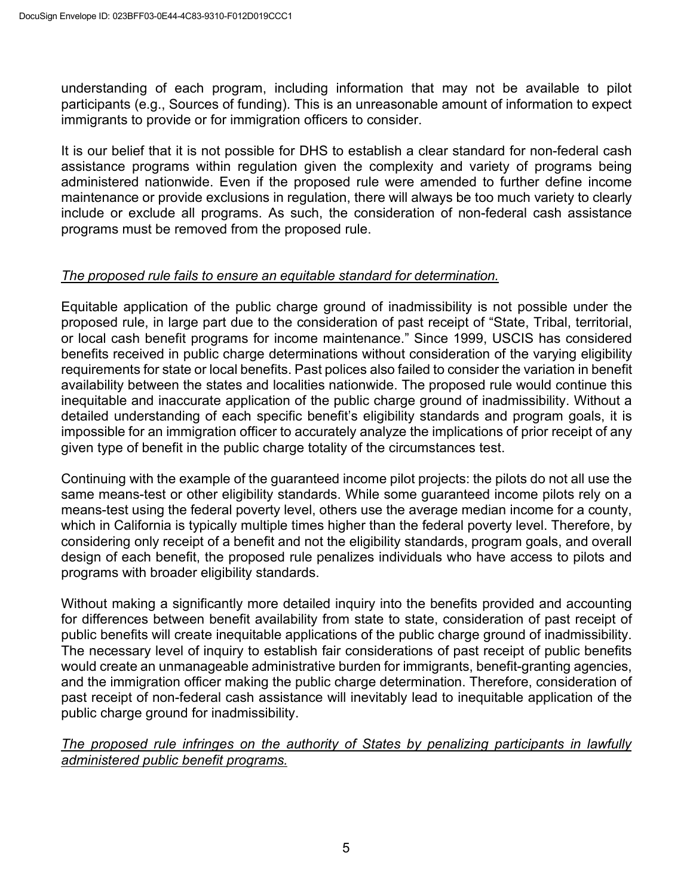understanding of each program, including information that may not be available to pilot participants (e.g., Sources of funding). This is an unreasonable amount of information to expect immigrants to provide or for immigration officers to consider.

It is our belief that it is not possible for DHS to establish a clear standard for non-federal cash assistance programs within regulation given the complexity and variety of programs being administered nationwide. Even if the proposed rule were amended to further define income maintenance or provide exclusions in regulation, there will always be too much variety to clearly include or exclude all programs. As such, the consideration of non-federal cash assistance programs must be removed from the proposed rule.

## *The proposed rule fails to ensure an equitable standard for determination.*

Equitable application of the public charge ground of inadmissibility is not possible under the proposed rule, in large part due to the consideration of past receipt of "State, Tribal, territorial, or local cash benefit programs for income maintenance." Since 1999, USCIS has considered benefits received in public charge determinations without consideration of the varying eligibility requirements for state or local benefits. Past polices also failed to consider the variation in benefit availability between the states and localities nationwide. The proposed rule would continue this inequitable and inaccurate application of the public charge ground of inadmissibility. Without a detailed understanding of each specific benefit's eligibility standards and program goals, it is impossible for an immigration officer to accurately analyze the implications of prior receipt of any given type of benefit in the public charge totality of the circumstances test.

Continuing with the example of the guaranteed income pilot projects: the pilots do not all use the same means-test or other eligibility standards. While some guaranteed income pilots rely on a means-test using the federal poverty level, others use the average median income for a county, which in California is typically multiple times higher than the federal poverty level. Therefore, by considering only receipt of a benefit and not the eligibility standards, program goals, and overall design of each benefit, the proposed rule penalizes individuals who have access to pilots and programs with broader eligibility standards.

Without making a significantly more detailed inquiry into the benefits provided and accounting for differences between benefit availability from state to state, consideration of past receipt of public benefits will create inequitable applications of the public charge ground of inadmissibility. The necessary level of inquiry to establish fair considerations of past receipt of public benefits would create an unmanageable administrative burden for immigrants, benefit-granting agencies, and the immigration officer making the public charge determination. Therefore, consideration of past receipt of non-federal cash assistance will inevitably lead to inequitable application of the public charge ground for inadmissibility.

*The proposed rule infringes on the authority of States by penalizing participants in lawfully administered public benefit programs.*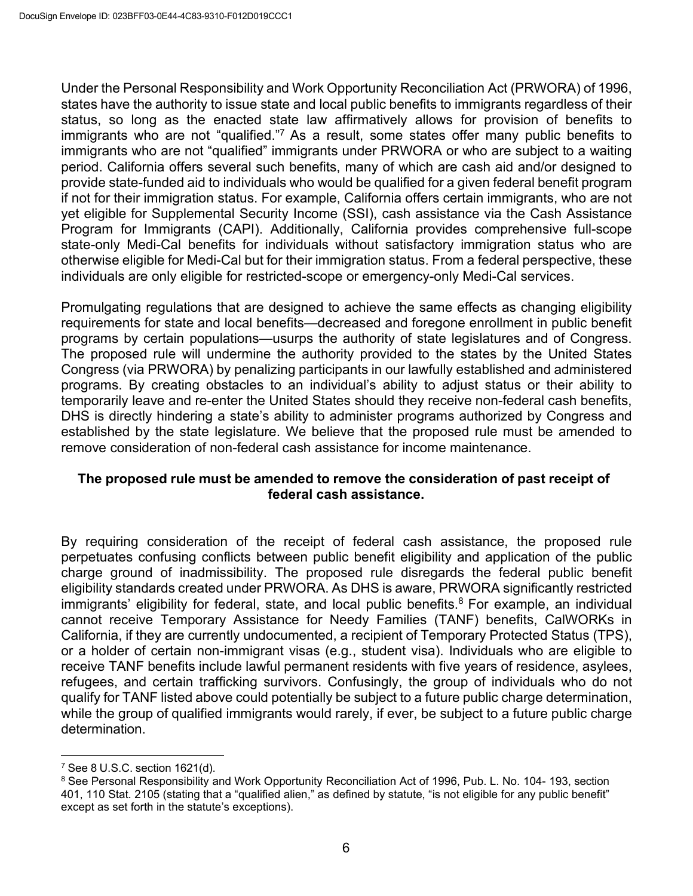Under the Personal Responsibility and Work Opportunity Reconciliation Act (PRWORA) of 1996, states have the authority to issue state and local public benefits to immigrants regardless of their status, so long as the enacted state law affirmatively allows for provision of benefits to immigrants who are not "qualified."<sup>7</sup> As a result, some states offer many public benefits to immigrants who are not "qualified" immigrants under PRWORA or who are subject to a waiting period. California offers several such benefits, many of which are cash aid and/or designed to provide state-funded aid to individuals who would be qualified for a given federal benefit program if not for their immigration status. For example, California offers certain immigrants, who are not yet eligible for Supplemental Security Income (SSI), cash assistance via the Cash Assistance Program for Immigrants (CAPI). Additionally, California provides comprehensive full-scope state-only Medi-Cal benefits for individuals without satisfactory immigration status who are otherwise eligible for Medi-Cal but for their immigration status. From a federal perspective, these individuals are only eligible for restricted-scope or emergency-only Medi-Cal services.

Promulgating regulations that are designed to achieve the same effects as changing eligibility requirements for state and local benefits—decreased and foregone enrollment in public benefit programs by certain populations—usurps the authority of state legislatures and of Congress. The proposed rule will undermine the authority provided to the states by the United States Congress (via PRWORA) by penalizing participants in our lawfully established and administered programs. By creating obstacles to an individual's ability to adjust status or their ability to temporarily leave and re-enter the United States should they receive non-federal cash benefits, DHS is directly hindering a state's ability to administer programs authorized by Congress and established by the state legislature. We believe that the proposed rule must be amended to remove consideration of non-federal cash assistance for income maintenance.

#### **The proposed rule must be amended to remove the consideration of past receipt of federal cash assistance.**

By requiring consideration of the receipt of federal cash assistance, the proposed rule perpetuates confusing conflicts between public benefit eligibility and application of the public charge ground of inadmissibility. The proposed rule disregards the federal public benefit eligibility standards created under PRWORA. As DHS is aware, PRWORA significantly restricted immigrants' eligibility for federal, state, and local public benefits.<sup>8</sup> For example, an individual cannot receive Temporary Assistance for Needy Families (TANF) benefits, CalWORKs in California, if they are currently undocumented, a recipient of Temporary Protected Status (TPS), or a holder of certain non-immigrant visas (e.g., student visa). Individuals who are eligible to receive TANF benefits include lawful permanent residents with five years of residence, asylees, refugees, and certain trafficking survivors. Confusingly, the group of individuals who do not qualify for TANF listed above could potentially be subject to a future public charge determination, while the group of qualified immigrants would rarely, if ever, be subject to a future public charge determination.

<sup>7</sup> See 8 U.S.C. section 1621(d).

<sup>8</sup> See Personal Responsibility and Work Opportunity Reconciliation Act of 1996, Pub. L. No. 104- 193, section 401, 110 Stat. 2105 (stating that a "qualified alien," as defined by statute, "is not eligible for any public benefit" except as set forth in the statute's exceptions).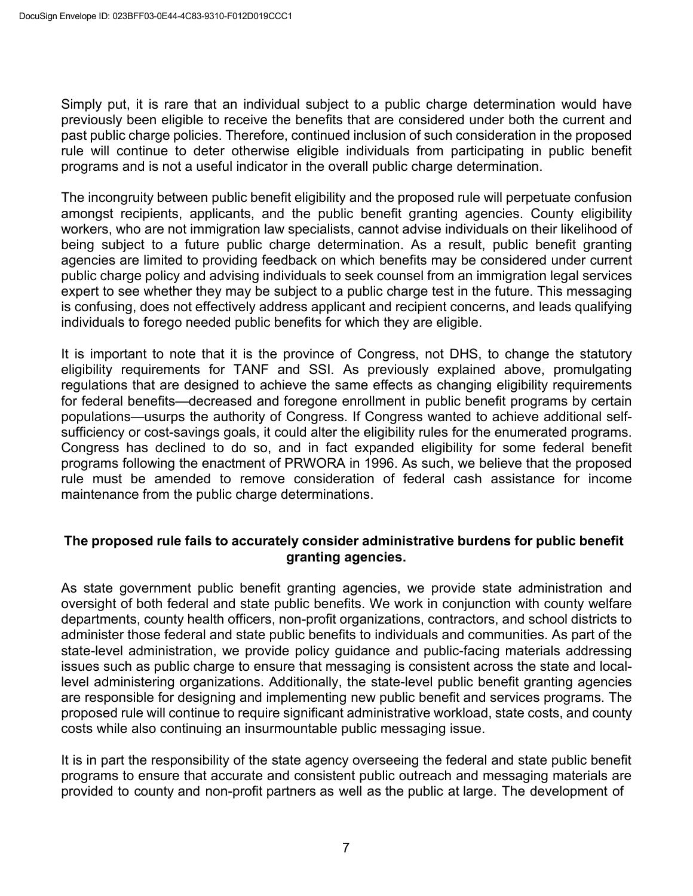Simply put, it is rare that an individual subject to a public charge determination would have previously been eligible to receive the benefits that are considered under both the current and past public charge policies. Therefore, continued inclusion of such consideration in the proposed rule will continue to deter otherwise eligible individuals from participating in public benefit programs and is not a useful indicator in the overall public charge determination.

The incongruity between public benefit eligibility and the proposed rule will perpetuate confusion amongst recipients, applicants, and the public benefit granting agencies. County eligibility workers, who are not immigration law specialists, cannot advise individuals on their likelihood of being subject to a future public charge determination. As a result, public benefit granting agencies are limited to providing feedback on which benefits may be considered under current public charge policy and advising individuals to seek counsel from an immigration legal services expert to see whether they may be subject to a public charge test in the future. This messaging is confusing, does not effectively address applicant and recipient concerns, and leads qualifying individuals to forego needed public benefits for which they are eligible.

It is important to note that it is the province of Congress, not DHS, to change the statutory eligibility requirements for TANF and SSI. As previously explained above, promulgating regulations that are designed to achieve the same effects as changing eligibility requirements for federal benefits—decreased and foregone enrollment in public benefit programs by certain populations—usurps the authority of Congress. If Congress wanted to achieve additional selfsufficiency or cost-savings goals, it could alter the eligibility rules for the enumerated programs. Congress has declined to do so, and in fact expanded eligibility for some federal benefit programs following the enactment of PRWORA in 1996. As such, we believe that the proposed rule must be amended to remove consideration of federal cash assistance for income maintenance from the public charge determinations.

#### **The proposed rule fails to accurately consider administrative burdens for public benefit granting agencies.**

As state government public benefit granting agencies, we provide state administration and oversight of both federal and state public benefits. We work in conjunction with county welfare departments, county health officers, non-profit organizations, contractors, and school districts to administer those federal and state public benefits to individuals and communities. As part of the state-level administration, we provide policy guidance and public-facing materials addressing issues such as public charge to ensure that messaging is consistent across the state and locallevel administering organizations. Additionally, the state-level public benefit granting agencies are responsible for designing and implementing new public benefit and services programs. The proposed rule will continue to require significant administrative workload, state costs, and county costs while also continuing an insurmountable public messaging issue.

It is in part the responsibility of the state agency overseeing the federal and state public benefit programs to ensure that accurate and consistent public outreach and messaging materials are provided to county and non-profit partners as well as the public at large. The development of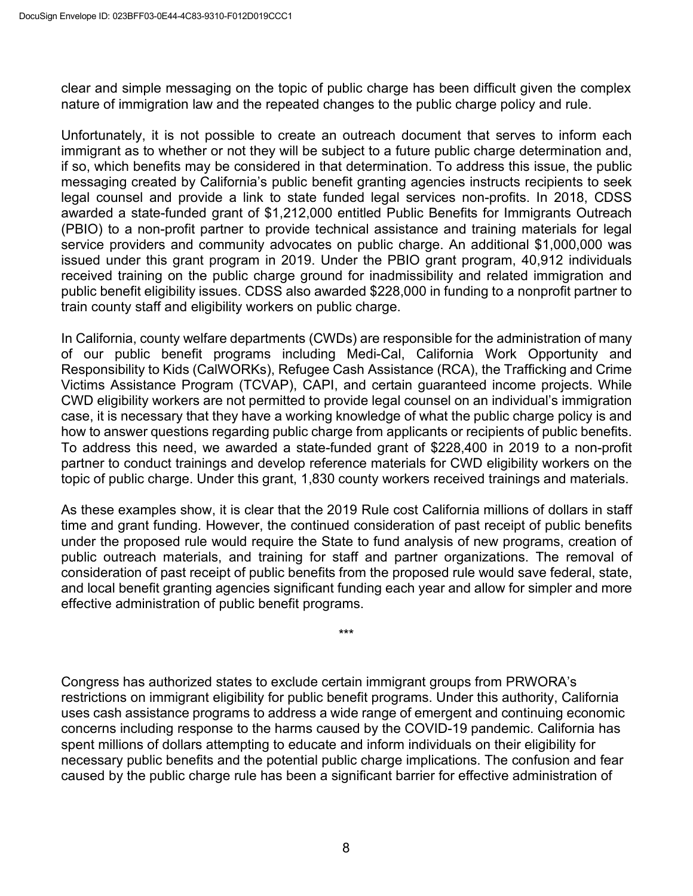clear and simple messaging on the topic of public charge has been difficult given the complex nature of immigration law and the repeated changes to the public charge policy and rule.

Unfortunately, it is not possible to create an outreach document that serves to inform each immigrant as to whether or not they will be subject to a future public charge determination and, if so, which benefits may be considered in that determination. To address this issue, the public messaging created by California's public benefit granting agencies instructs recipients to seek legal counsel and provide a link to state funded legal services non-profits. In 2018, CDSS awarded a state-funded grant of \$1,212,000 entitled Public Benefits for Immigrants Outreach (PBIO) to a non-profit partner to provide technical assistance and training materials for legal service providers and community advocates on public charge. An additional \$1,000,000 was issued under this grant program in 2019. Under the PBIO grant program, 40,912 individuals received training on the public charge ground for inadmissibility and related immigration and public benefit eligibility issues. CDSS also awarded \$228,000 in funding to a nonprofit partner to train county staff and eligibility workers on public charge.

In California, county welfare departments (CWDs) are responsible for the administration of many of our public benefit programs including Medi-Cal, California Work Opportunity and Responsibility to Kids (CalWORKs), Refugee Cash Assistance (RCA), the Trafficking and Crime Victims Assistance Program (TCVAP), CAPI, and certain guaranteed income projects. While CWD eligibility workers are not permitted to provide legal counsel on an individual's immigration case, it is necessary that they have a working knowledge of what the public charge policy is and how to answer questions regarding public charge from applicants or recipients of public benefits. To address this need, we awarded a state-funded grant of \$228,400 in 2019 to a non-profit partner to conduct trainings and develop reference materials for CWD eligibility workers on the topic of public charge. Under this grant, 1,830 county workers received trainings and materials.

As these examples show, it is clear that the 2019 Rule cost California millions of dollars in staff time and grant funding. However, the continued consideration of past receipt of public benefits under the proposed rule would require the State to fund analysis of new programs, creation of public outreach materials, and training for staff and partner organizations. The removal of consideration of past receipt of public benefits from the proposed rule would save federal, state, and local benefit granting agencies significant funding each year and allow for simpler and more effective administration of public benefit programs.

\*\*\*

Congress has authorized states to exclude certain immigrant groups from PRWORA's restrictions on immigrant eligibility for public benefit programs. Under this authority, California uses cash assistance programs to address a wide range of emergent and continuing economic concerns including response to the harms caused by the COVID-19 pandemic. California has spent millions of dollars attempting to educate and inform individuals on their eligibility for necessary public benefits and the potential public charge implications. The confusion and fear caused by the public charge rule has been a significant barrier for effective administration of